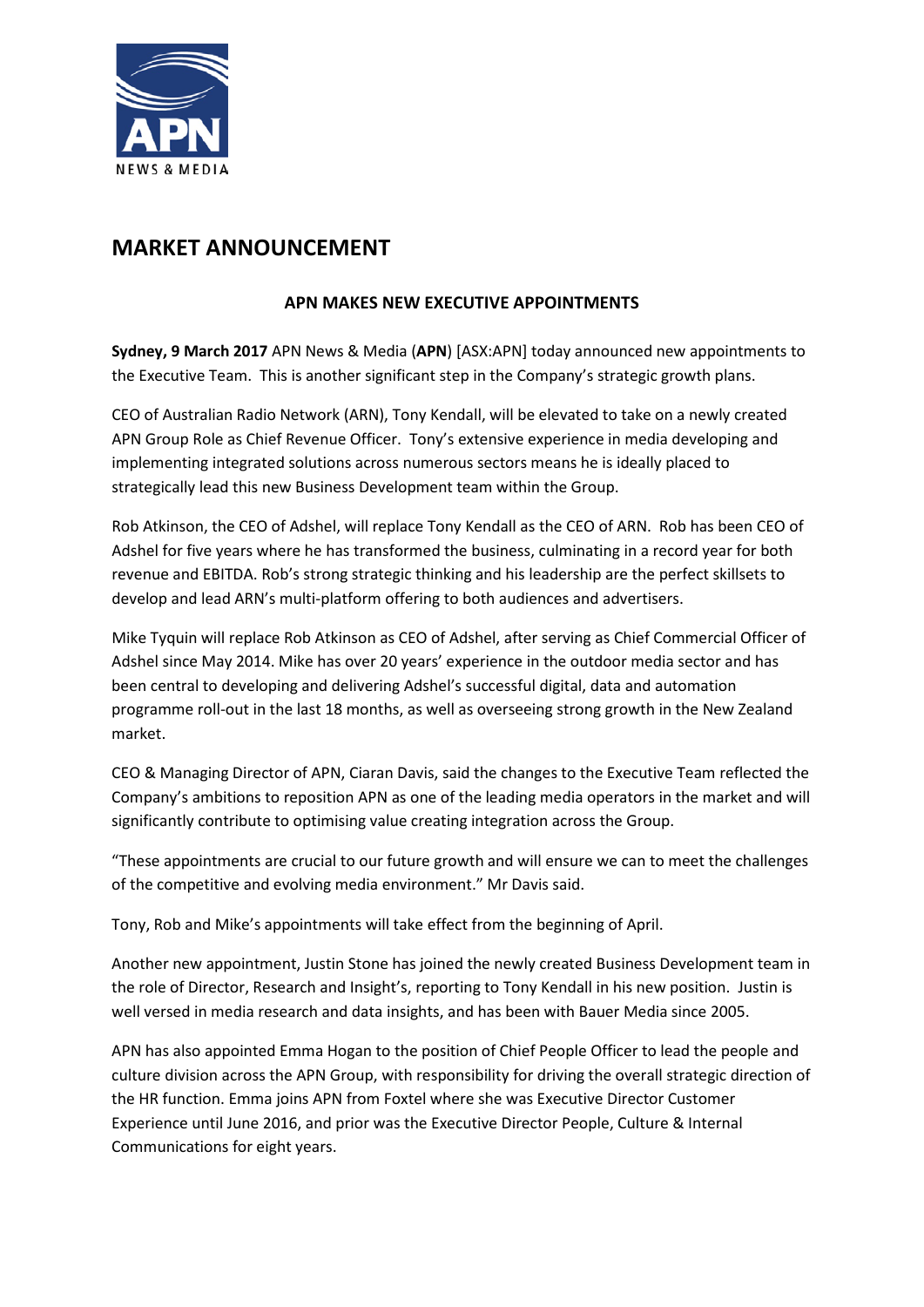

## **MARKET ANNOUNCEMENT**

## **APN MAKES NEW EXECUTIVE APPOINTMENTS**

**Sydney, 9 March 2017** APN News & Media (**APN**) [ASX:APN] today announced new appointments to the Executive Team. This is another significant step in the Company's strategic growth plans.

CEO of Australian Radio Network (ARN), Tony Kendall, will be elevated to take on a newly created APN Group Role as Chief Revenue Officer. Tony's extensive experience in media developing and implementing integrated solutions across numerous sectors means he is ideally placed to strategically lead this new Business Development team within the Group.

Rob Atkinson, the CEO of Adshel, will replace Tony Kendall as the CEO of ARN. Rob has been CEO of Adshel for five years where he has transformed the business, culminating in a record year for both revenue and EBITDA. Rob's strong strategic thinking and his leadership are the perfect skillsets to develop and lead ARN's multi-platform offering to both audiences and advertisers.

Mike Tyquin will replace Rob Atkinson as CEO of Adshel, after serving as Chief Commercial Officer of Adshel since May 2014. Mike has over 20 years' experience in the outdoor media sector and has been central to developing and delivering Adshel's successful digital, data and automation programme roll-out in the last 18 months, as well as overseeing strong growth in the New Zealand market.

CEO & Managing Director of APN, Ciaran Davis, said the changes to the Executive Team reflected the Company's ambitions to reposition APN as one of the leading media operators in the market and will significantly contribute to optimising value creating integration across the Group.

"These appointments are crucial to our future growth and will ensure we can to meet the challenges of the competitive and evolving media environment." Mr Davis said.

Tony, Rob and Mike's appointments will take effect from the beginning of April.

Another new appointment, Justin Stone has joined the newly created Business Development team in the role of Director, Research and Insight's, reporting to Tony Kendall in his new position. Justin is well versed in media research and data insights, and has been with Bauer Media since 2005.

APN has also appointed Emma Hogan to the position of Chief People Officer to lead the people and culture division across the APN Group, with responsibility for driving the overall strategic direction of the HR function. Emma joins APN from Foxtel where she was Executive Director Customer Experience until June 2016, and prior was the Executive Director People, Culture & Internal Communications for eight years.